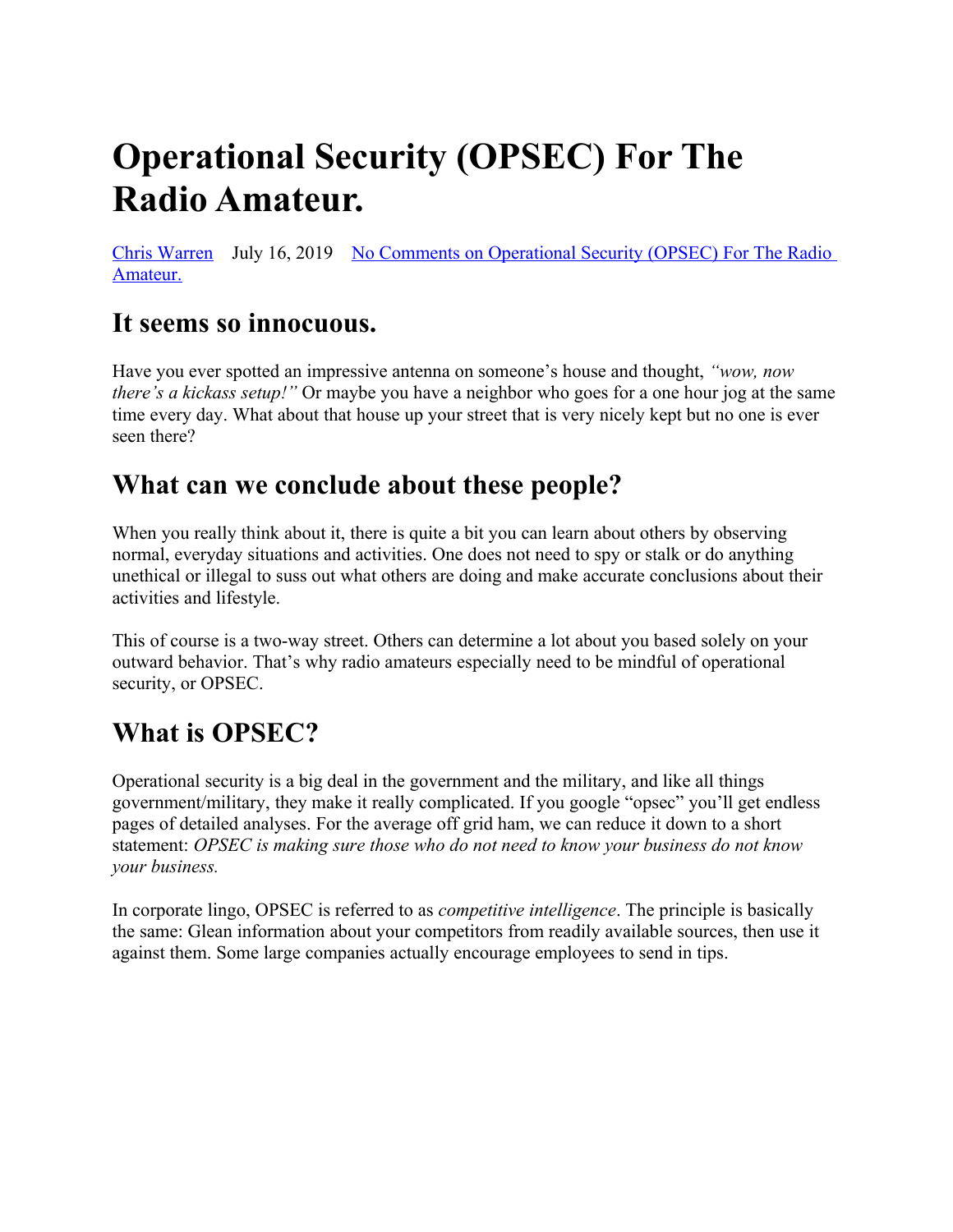# **Operational Security (OPSEC) For The Radio Amateur.**

[Chris Warren](https://offgridham.com/author/offgridham/) July 16, 2019 [No Comments on Operational Security \(OPSEC\) For The Radio](https://offgridham.com/2019/07/operational-security-opsec/#respond)  [Amateur.](https://offgridham.com/2019/07/operational-security-opsec/#respond)

## **It seems so innocuous.**

Have you ever spotted an impressive antenna on someone's house and thought, *"wow, now there's a kickass setup!"* Or maybe you have a neighbor who goes for a one hour jog at the same time every day. What about that house up your street that is very nicely kept but no one is ever seen there?

### **What can we conclude about these people?**

When you really think about it, there is quite a bit you can learn about others by observing normal, everyday situations and activities. One does not need to spy or stalk or do anything unethical or illegal to suss out what others are doing and make accurate conclusions about their activities and lifestyle.

This of course is a two-way street. Others can determine a lot about you based solely on your outward behavior. That's why radio amateurs especially need to be mindful of operational security, or OPSEC.

# **What is OPSEC?**

Operational security is a big deal in the government and the military, and like all things government/military, they make it really complicated. If you google "opsec" you'll get endless pages of detailed analyses. For the average off grid ham, we can reduce it down to a short statement: *OPSEC is making sure those who do not need to know your business do not know your business.*

In corporate lingo, OPSEC is referred to as *competitive intelligence*. The principle is basically the same: Glean information about your competitors from readily available sources, then use it against them. Some large companies actually encourage employees to send in tips.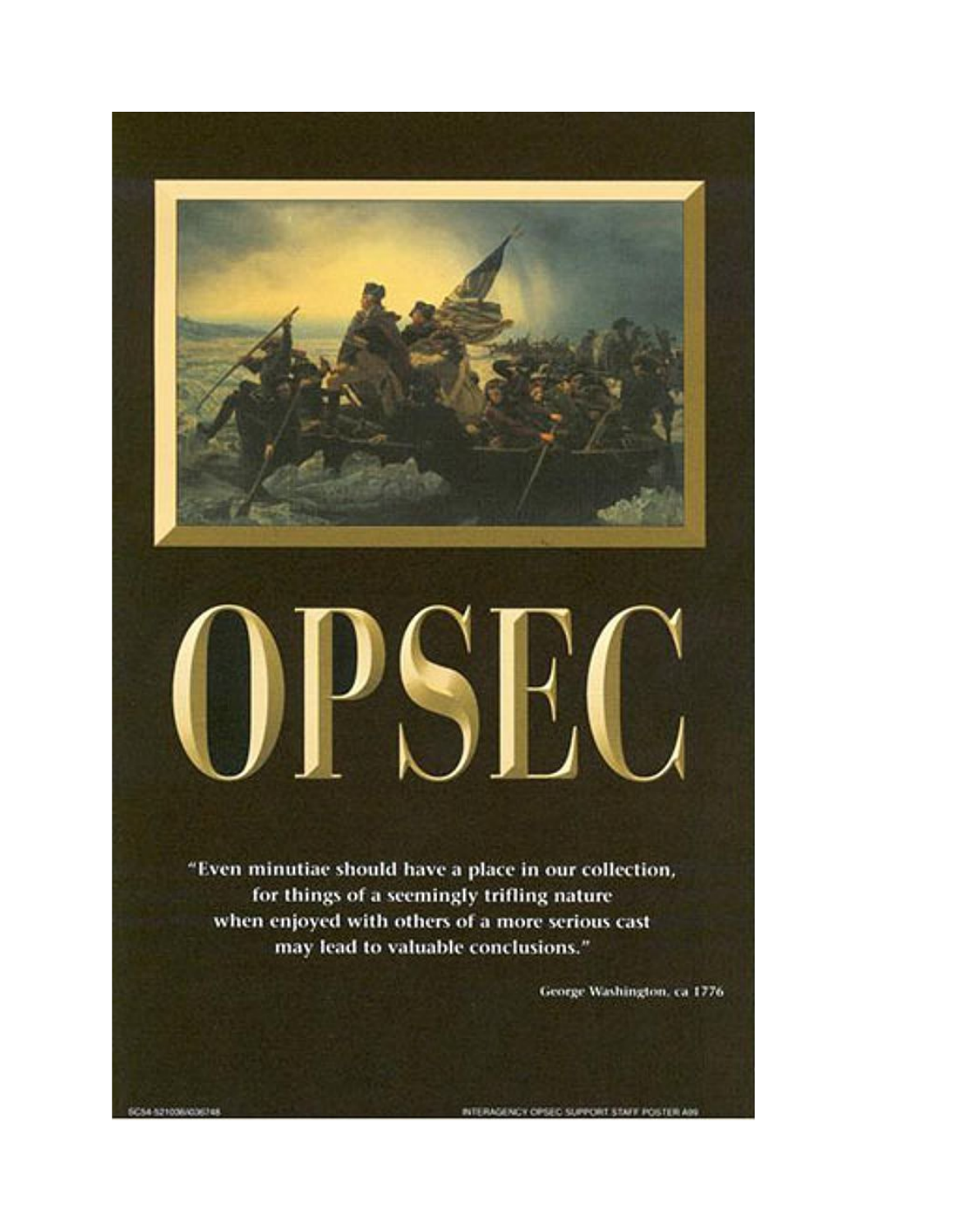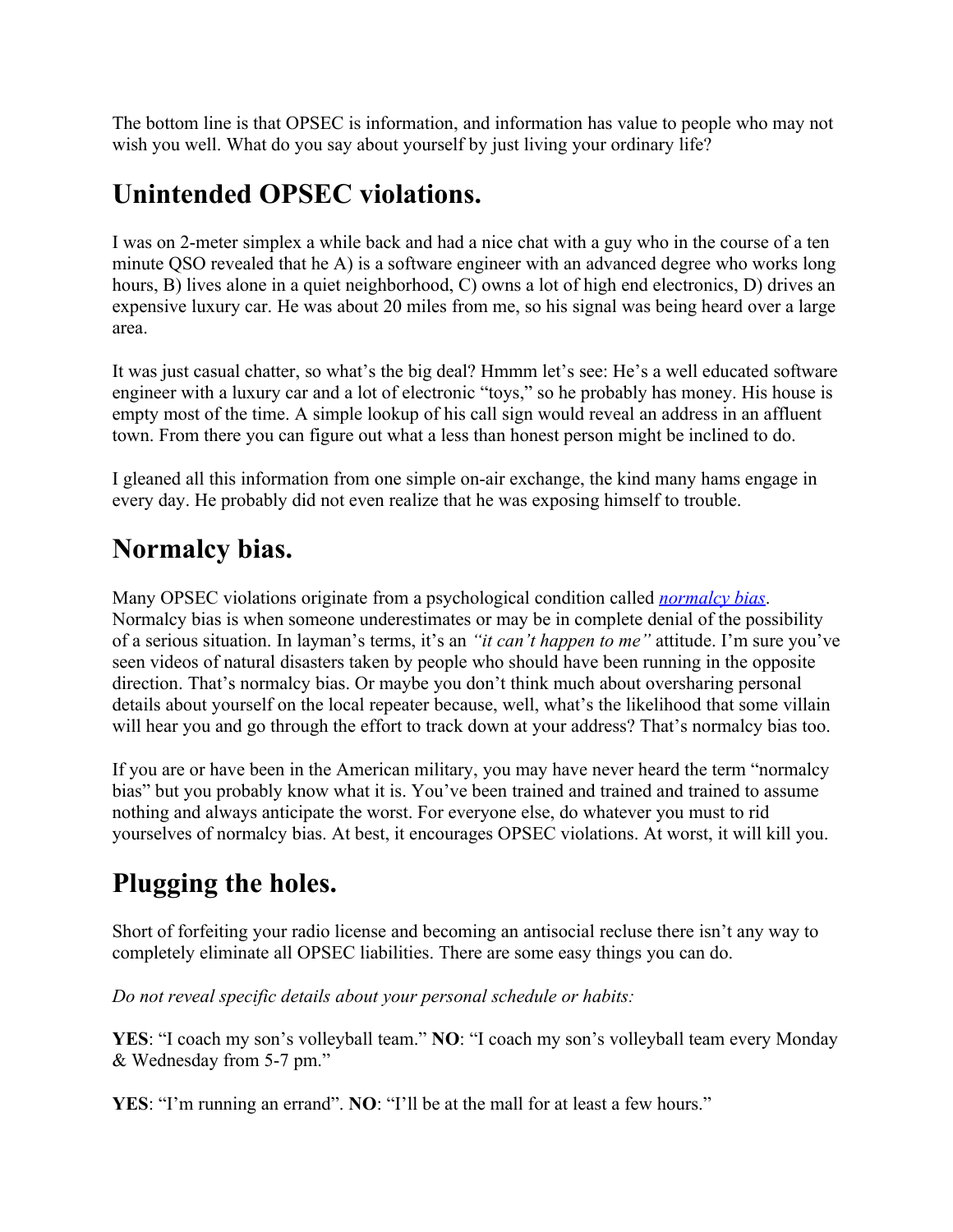The bottom line is that OPSEC is information, and information has value to people who may not wish you well. What do you say about yourself by just living your ordinary life?

## **Unintended OPSEC violations.**

I was on 2-meter simplex a while back and had a nice chat with a guy who in the course of a ten minute QSO revealed that he A) is a software engineer with an advanced degree who works long hours, B) lives alone in a quiet neighborhood, C) owns a lot of high end electronics, D) drives an expensive luxury car. He was about 20 miles from me, so his signal was being heard over a large area.

It was just casual chatter, so what's the big deal? Hmmm let's see: He's a well educated software engineer with a luxury car and a lot of electronic "toys," so he probably has money. His house is empty most of the time. A simple lookup of his call sign would reveal an address in an affluent town. From there you can figure out what a less than honest person might be inclined to do.

I gleaned all this information from one simple on-air exchange, the kind many hams engage in every day. He probably did not even realize that he was exposing himself to trouble.

## **Normalcy bias.**

Many OPSEC violations originate from a psychological condition called *[normalcy bias](https://en.wikipedia.org/wiki/Normalcy_bias)*. Normalcy bias is when someone underestimates or may be in complete denial of the possibility of a serious situation. In layman's terms, it's an *"it can't happen to me"* attitude. I'm sure you've seen videos of natural disasters taken by people who should have been running in the opposite direction. That's normalcy bias. Or maybe you don't think much about oversharing personal details about yourself on the local repeater because, well, what's the likelihood that some villain will hear you and go through the effort to track down at your address? That's normalcy bias too.

If you are or have been in the American military, you may have never heard the term "normalcy bias" but you probably know what it is. You've been trained and trained and trained to assume nothing and always anticipate the worst. For everyone else, do whatever you must to rid yourselves of normalcy bias. At best, it encourages OPSEC violations. At worst, it will kill you.

# **Plugging the holes.**

Short of forfeiting your radio license and becoming an antisocial recluse there isn't any way to completely eliminate all OPSEC liabilities. There are some easy things you can do.

*Do not reveal specific details about your personal schedule or habits:*

**YES**: "I coach my son's volleyball team." **NO**: "I coach my son's volleyball team every Monday & Wednesday from 5-7 pm."

**YES**: "I'm running an errand". **NO**: "I'll be at the mall for at least a few hours."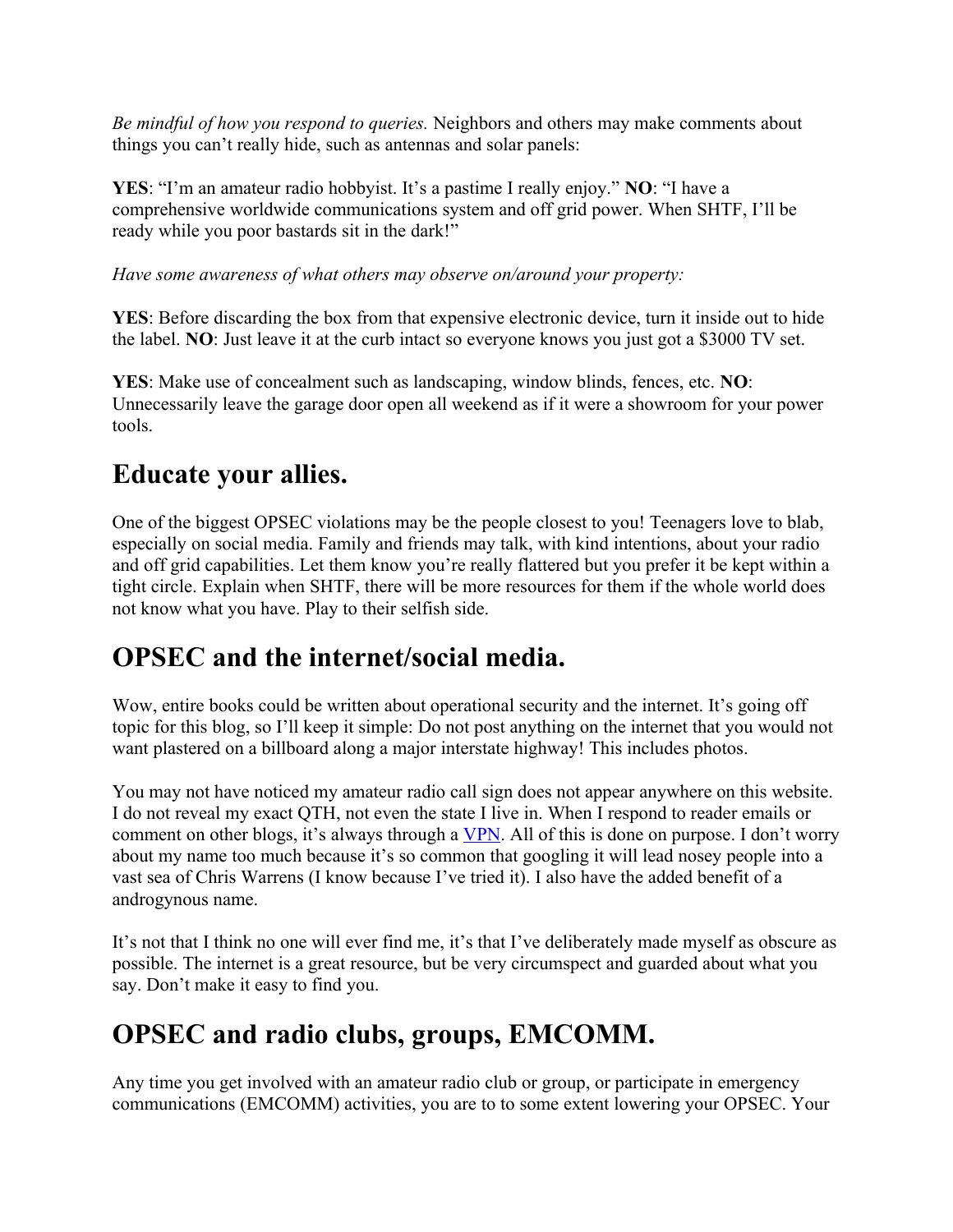*Be mindful of how you respond to queries.* Neighbors and others may make comments about things you can't really hide, such as antennas and solar panels:

**YES**: "I'm an amateur radio hobbyist. It's a pastime I really enjoy." **NO**: "I have a comprehensive worldwide communications system and off grid power. When SHTF, I'll be ready while you poor bastards sit in the dark!"

*Have some awareness of what others may observe on/around your property:*

**YES**: Before discarding the box from that expensive electronic device, turn it inside out to hide the label. **NO**: Just leave it at the curb intact so everyone knows you just got a \$3000 TV set.

**YES**: Make use of concealment such as landscaping, window blinds, fences, etc. **NO**: Unnecessarily leave the garage door open all weekend as if it were a showroom for your power tools.

## **Educate your allies.**

One of the biggest OPSEC violations may be the people closest to you! Teenagers love to blab, especially on social media. Family and friends may talk, with kind intentions, about your radio and off grid capabilities. Let them know you're really flattered but you prefer it be kept within a tight circle. Explain when SHTF, there will be more resources for them if the whole world does not know what you have. Play to their selfish side.

#### **OPSEC and the internet/social media.**

Wow, entire books could be written about operational security and the internet. It's going off topic for this blog, so I'll keep it simple: Do not post anything on the internet that you would not want plastered on a billboard along a major interstate highway! This includes photos.

You may not have noticed my amateur radio call sign does not appear anywhere on this website. I do not reveal my exact QTH, not even the state I live in. When I respond to reader emails or comment on other blogs, it's always through a [VPN.](https://en.wikipedia.org/wiki/Virtual_private_network) All of this is done on purpose. I don't worry about my name too much because it's so common that googling it will lead nosey people into a vast sea of Chris Warrens (I know because I've tried it). I also have the added benefit of a androgynous name.

It's not that I think no one will ever find me, it's that I've deliberately made myself as obscure as possible. The internet is a great resource, but be very circumspect and guarded about what you say. Don't make it easy to find you.

# **OPSEC and radio clubs, groups, EMCOMM.**

Any time you get involved with an amateur radio club or group, or participate in emergency communications (EMCOMM) activities, you are to to some extent lowering your OPSEC. Your